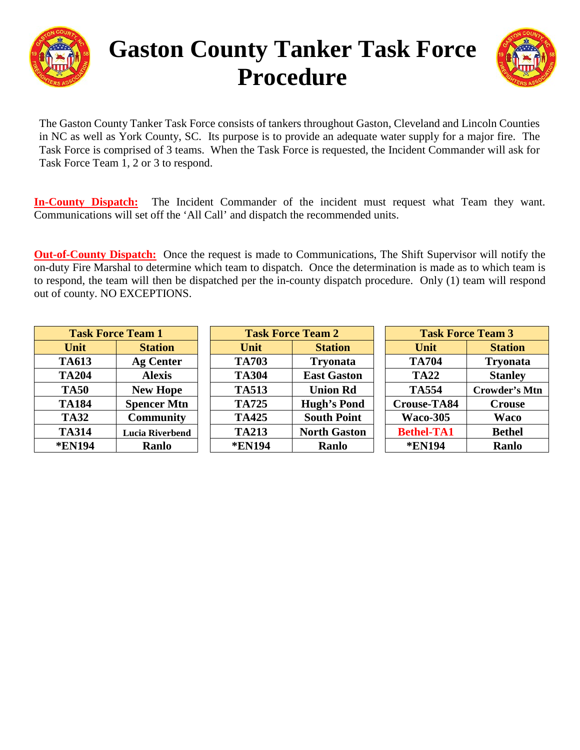

# **Gaston County Tanker Task Force Procedure**



The Gaston County Tanker Task Force consists of tankers throughout Gaston, Cleveland and Lincoln Counties in NC as well as York County, SC. Its purpose is to provide an adequate water supply for a major fire. The Task Force is comprised of 3 teams. When the Task Force is requested, the Incident Commander will ask for Task Force Team 1, 2 or 3 to respond.

**In-County Dispatch:** The Incident Commander of the incident must request what Team they want. Communications will set off the 'All Call' and dispatch the recommended units.

**Out-of-County Dispatch:** Once the request is made to Communications, The Shift Supervisor will notify the on-duty Fire Marshal to determine which team to dispatch. Once the determination is made as to which team is to respond, the team will then be dispatched per the in-county dispatch procedure. Only (1) team will respond out of county. NO EXCEPTIONS.

| <b>Task Force Team 1</b> |                        | <b>Task Force Team 2</b> |                     | <b>Task Force Team 3</b> |                      |
|--------------------------|------------------------|--------------------------|---------------------|--------------------------|----------------------|
| Unit                     | <b>Station</b>         | Unit                     | <b>Station</b>      | Unit                     | <b>Station</b>       |
| <b>TA613</b>             | <b>Ag Center</b>       | <b>TA703</b>             | <b>Tryonata</b>     | <b>TA704</b>             | <b>Tryonata</b>      |
| <b>TA204</b>             | <b>Alexis</b>          | <b>TA304</b>             | <b>East Gaston</b>  | <b>TA22</b>              | <b>Stanley</b>       |
| <b>TA50</b>              | <b>New Hope</b>        | <b>TA513</b>             | <b>Union Rd</b>     | <b>TA554</b>             | <b>Crowder's Mtn</b> |
| <b>TA184</b>             | <b>Spencer Mtn</b>     | <b>TA725</b>             | <b>Hugh's Pond</b>  | <b>Crouse-TA84</b>       | <b>Crouse</b>        |
| <b>TA32</b>              | <b>Community</b>       | <b>TA425</b>             | <b>South Point</b>  | <b>Waco-305</b>          | <b>Waco</b>          |
| <b>TA314</b>             | <b>Lucia Riverbend</b> | <b>TA213</b>             | <b>North Gaston</b> | <b>Bethel-TA1</b>        | <b>Bethel</b>        |
| <b>*EN194</b>            | Ranlo                  | <b>*EN194</b>            | Ranlo               | <b>*EN194</b>            | Ranlo                |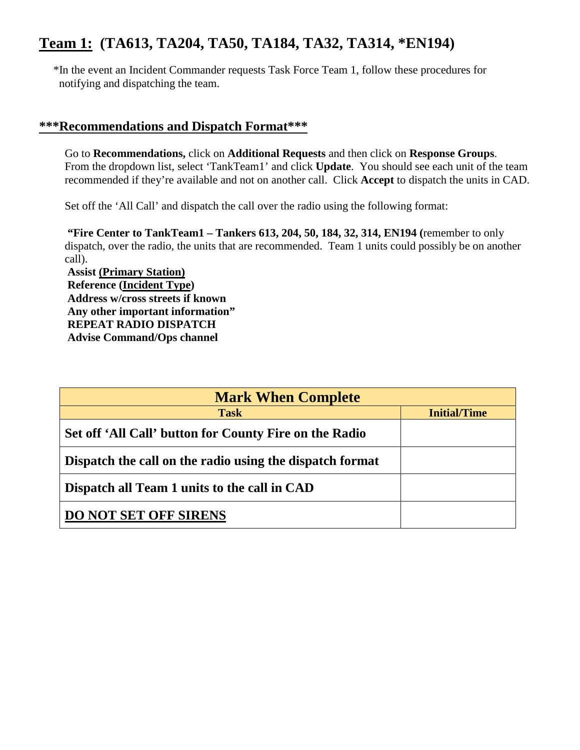# **Team 1: (TA613, TA204, TA50, TA184, TA32, TA314, \*EN194)**

 \*In the event an Incident Commander requests Task Force Team 1, follow these procedures for notifying and dispatching the team.

#### **\*\*\*Recommendations and Dispatch Format\*\*\***

Go to **Recommendations,** click on **Additional Requests** and then click on **Response Groups**. From the dropdown list, select 'TankTeam1' and click **Update**. You should see each unit of the team recommended if they're available and not on another call. Click **Accept** to dispatch the units in CAD.

Set off the 'All Call' and dispatch the call over the radio using the following format:

**"Fire Center to TankTeam1 – Tankers 613, 204, 50, 184, 32, 314, EN194 (**remember to only dispatch, over the radio, the units that are recommended. Team 1 units could possibly be on another call).

**Assist (Primary Station) Reference (Incident Type) Address w/cross streets if known Any other important information" REPEAT RADIO DISPATCH Advise Command/Ops channel**

| <b>Mark When Complete</b>                                |                     |  |  |  |  |
|----------------------------------------------------------|---------------------|--|--|--|--|
| <b>Task</b>                                              | <b>Initial/Time</b> |  |  |  |  |
| Set off 'All Call' button for County Fire on the Radio   |                     |  |  |  |  |
| Dispatch the call on the radio using the dispatch format |                     |  |  |  |  |
| Dispatch all Team 1 units to the call in CAD             |                     |  |  |  |  |
| <b>DO NOT SET OFF SIRENS</b>                             |                     |  |  |  |  |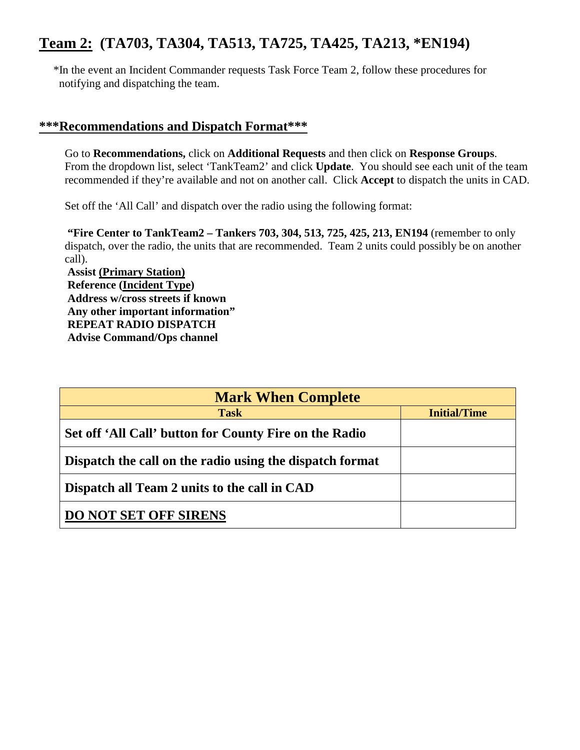# **Team 2: (TA703, TA304, TA513, TA725, TA425, TA213, \*EN194)**

 \*In the event an Incident Commander requests Task Force Team 2, follow these procedures for notifying and dispatching the team.

#### **\*\*\*Recommendations and Dispatch Format\*\*\***

Go to **Recommendations,** click on **Additional Requests** and then click on **Response Groups**. From the dropdown list, select 'TankTeam2' and click **Update**. You should see each unit of the team recommended if they're available and not on another call. Click **Accept** to dispatch the units in CAD.

Set off the 'All Call' and dispatch over the radio using the following format:

**"Fire Center to TankTeam2 – Tankers 703, 304, 513, 725, 425, 213, EN194** (remember to only dispatch, over the radio, the units that are recommended. Team 2 units could possibly be on another call).

**Assist (Primary Station) Reference (Incident Type) Address w/cross streets if known Any other important information" REPEAT RADIO DISPATCH Advise Command/Ops channel**

| <b>Mark When Complete</b>                                |                     |  |  |  |  |
|----------------------------------------------------------|---------------------|--|--|--|--|
| <b>Task</b>                                              | <b>Initial/Time</b> |  |  |  |  |
| Set off 'All Call' button for County Fire on the Radio   |                     |  |  |  |  |
| Dispatch the call on the radio using the dispatch format |                     |  |  |  |  |
| Dispatch all Team 2 units to the call in CAD             |                     |  |  |  |  |
| <b>DO NOT SET OFF SIRENS</b>                             |                     |  |  |  |  |